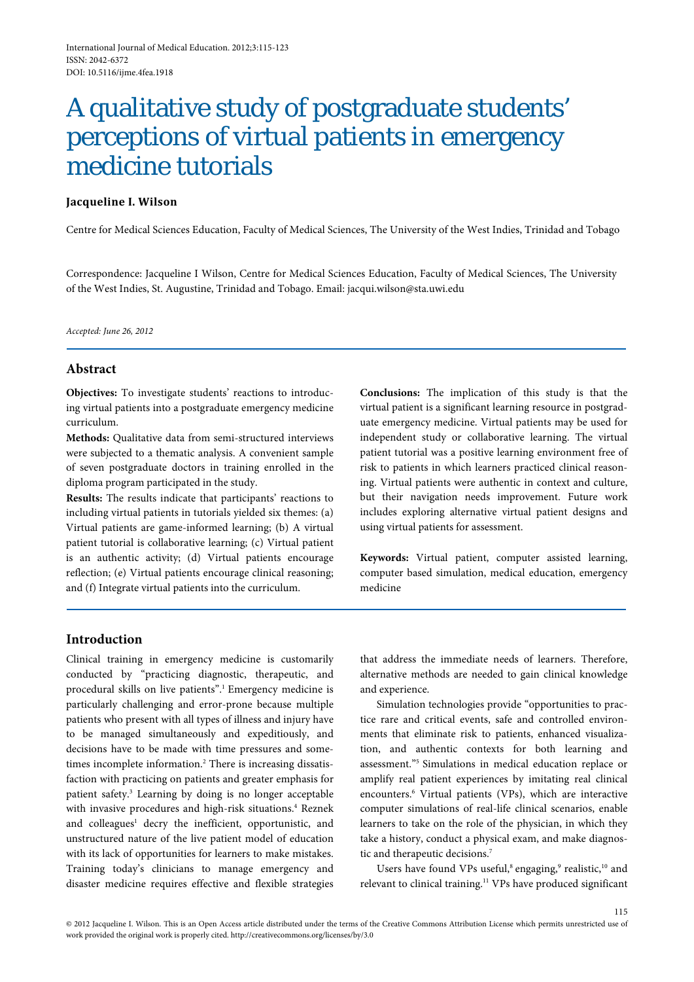# A qualitative study of postgraduate students' perceptions of virtual patients in emergency medicine tutorials

# **Jacqueline I. Wilson**

Centre for Medical Sciences Education, Faculty of Medical Sciences, The University of the West Indies, Trinidad and Tobago

Correspondence: Jacqueline I Wilson, Centre for Medical Sciences Education, Faculty of Medical Sciences, The University of the West Indies, St. Augustine, Trinidad and Tobago. Email: jacqui.wilson@sta.uwi.edu

*Accepted: June 26, 2012*

# **Abstract**

**Objectives:** To investigate students' reactions to introducing virtual patients into a postgraduate emergency medicine curriculum.

**Methods:** Qualitative data from semi-structured interviews were subjected to a thematic analysis. A convenient sample of seven postgraduate doctors in training enrolled in the diploma program participated in the study.

**Results:** The results indicate that participants' reactions to including virtual patients in tutorials yielded six themes: (a) Virtual patients are game-informed learning; (b) A virtual patient tutorial is collaborative learning; (c) Virtual patient is an authentic activity; (d) Virtual patients encourage reflection; (e) Virtual patients encourage clinical reasoning; and (f) Integrate virtual patients into the curriculum.

**Conclusions:** The implication of this study is that the virtual patient is a significant learning resource in postgraduate emergency medicine. Virtual patients may be used for independent study or collaborative learning. The virtual patient tutorial was a positive learning environment free of risk to patients in which learners practiced clinical reasoning. Virtual patients were authentic in context and culture, but their navigation needs improvement. Future work includes exploring alternative virtual patient designs and using virtual patients for assessment.

**Keywords:** Virtual patient, computer assisted learning, computer based simulation, medical education, emergency medicine

# **Introduction**

Clinical training in emergency medicine is customarily conducted by "practicing diagnostic, therapeutic, and procedural skills on live patients".1 Emergency medicine is particularly challenging and error-prone because multiple patients who present with all types of illness and injury have to be managed simultaneously and expeditiously, and decisions have to be made with time pressures and sometimes incomplete information.<sup>2</sup> There is increasing dissatisfaction with practicing on patients and greater emphasis for patient safety.3 Learning by doing is no longer acceptable with invasive procedures and high-risk situations.<sup>4</sup> Reznek and colleagues<sup>1</sup> decry the inefficient, opportunistic, and unstructured nature of the live patient model of education with its lack of opportunities for learners to make mistakes. Training today's clinicians to manage emergency and disaster medicine requires effective and flexible strategies

that address the immediate needs of learners. Therefore, alternative methods are needed to gain clinical knowledge and experience.

Simulation technologies provide "opportunities to practice rare and critical events, safe and controlled environments that eliminate risk to patients, enhanced visualization, and authentic contexts for both learning and assessment."5 Simulations in medical education replace or amplify real patient experiences by imitating real clinical encounters.6 Virtual patients (VPs), which are interactive computer simulations of real-life clinical scenarios, enable learners to take on the role of the physician, in which they take a history, conduct a physical exam, and make diagnostic and therapeutic decisions.7

Users have found VPs useful,<sup>8</sup> engaging,<sup>9</sup> realistic,<sup>10</sup> and relevant to clinical training.<sup>11</sup> VPs have produced significant

115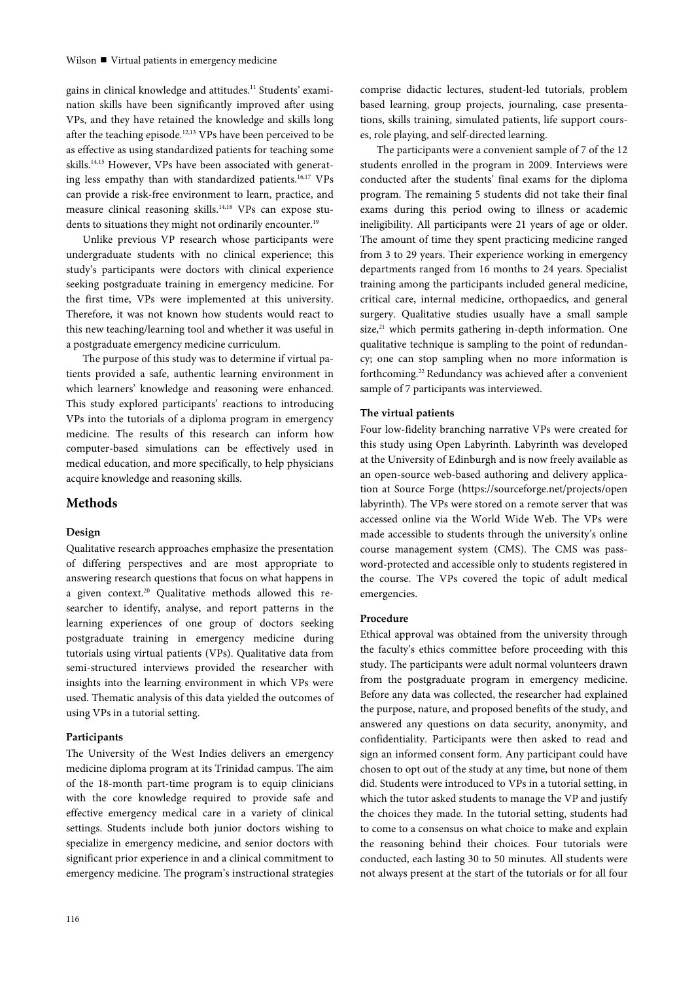gains in clinical knowledge and attitudes.<sup>11</sup> Students' examination skills have been significantly improved after using VPs, and they have retained the knowledge and skills long after the teaching episode.<sup>12,13</sup> VPs have been perceived to be as effective as using standardized patients for teaching some skills.<sup>14,15</sup> However, VPs have been associated with generating less empathy than with standardized patients.<sup>16,17</sup> VPs can provide a risk-free environment to learn, practice, and measure clinical reasoning skills.<sup>14,18</sup> VPs can expose students to situations they might not ordinarily encounter.<sup>19</sup>

Unlike previous VP research whose participants were undergraduate students with no clinical experience; this study's participants were doctors with clinical experience seeking postgraduate training in emergency medicine. For the first time, VPs were implemented at this university. Therefore, it was not known how students would react to this new teaching/learning tool and whether it was useful in a postgraduate emergency medicine curriculum.

The purpose of this study was to determine if virtual patients provided a safe, authentic learning environment in which learners' knowledge and reasoning were enhanced. This study explored participants' reactions to introducing VPs into the tutorials of a diploma program in emergency medicine. The results of this research can inform how computer-based simulations can be effectively used in medical education, and more specifically, to help physicians acquire knowledge and reasoning skills.

# **Methods**

#### **Design**

Qualitative research approaches emphasize the presentation of differing perspectives and are most appropriate to answering research questions that focus on what happens in a given context.20 Qualitative methods allowed this researcher to identify, analyse, and report patterns in the learning experiences of one group of doctors seeking postgraduate training in emergency medicine during tutorials using virtual patients (VPs). Qualitative data from semi-structured interviews provided the researcher with insights into the learning environment in which VPs were used. Thematic analysis of this data yielded the outcomes of using VPs in a tutorial setting.

## **Participants**

The University of the West Indies delivers an emergency medicine diploma program at its Trinidad campus. The aim of the 18-month part-time program is to equip clinicians with the core knowledge required to provide safe and effective emergency medical care in a variety of clinical settings. Students include both junior doctors wishing to specialize in emergency medicine, and senior doctors with significant prior experience in and a clinical commitment to emergency medicine. The program's instructional strategies

comprise didactic lectures, student-led tutorials, problem based learning, group projects, journaling, case presentations, skills training, simulated patients, life support courses, role playing, and self-directed learning.

The participants were a convenient sample of 7 of the 12 students enrolled in the program in 2009. Interviews were conducted after the students' final exams for the diploma program. The remaining 5 students did not take their final exams during this period owing to illness or academic ineligibility. All participants were 21 years of age or older. The amount of time they spent practicing medicine ranged from 3 to 29 years. Their experience working in emergency departments ranged from 16 months to 24 years. Specialist training among the participants included general medicine, critical care, internal medicine, orthopaedics, and general surgery. Qualitative studies usually have a small sample size, $21$  which permits gathering in-depth information. One qualitative technique is sampling to the point of redundancy; one can stop sampling when no more information is forthcoming.22 Redundancy was achieved after a convenient sample of 7 participants was interviewed.

### **The virtual patients**

Four low-fidelity branching narrative VPs were created for this study using Open Labyrinth. Labyrinth was developed at the University of Edinburgh and is now freely available as an open-source web-based authoring and delivery application at Source Forge (https://sourceforge.net/projects/open labyrinth). The VPs were stored on a remote server that was accessed online via the World Wide Web. The VPs were made accessible to students through the university's online course management system (CMS). The CMS was password-protected and accessible only to students registered in the course. The VPs covered the topic of adult medical emergencies.

### **Procedure**

Ethical approval was obtained from the university through the faculty's ethics committee before proceeding with this study. The participants were adult normal volunteers drawn from the postgraduate program in emergency medicine. Before any data was collected, the researcher had explained the purpose, nature, and proposed benefits of the study, and answered any questions on data security, anonymity, and confidentiality. Participants were then asked to read and sign an informed consent form. Any participant could have chosen to opt out of the study at any time, but none of them did. Students were introduced to VPs in a tutorial setting, in which the tutor asked students to manage the VP and justify the choices they made. In the tutorial setting, students had to come to a consensus on what choice to make and explain the reasoning behind their choices. Four tutorials were conducted, each lasting 30 to 50 minutes. All students were not always present at the start of the tutorials or for all four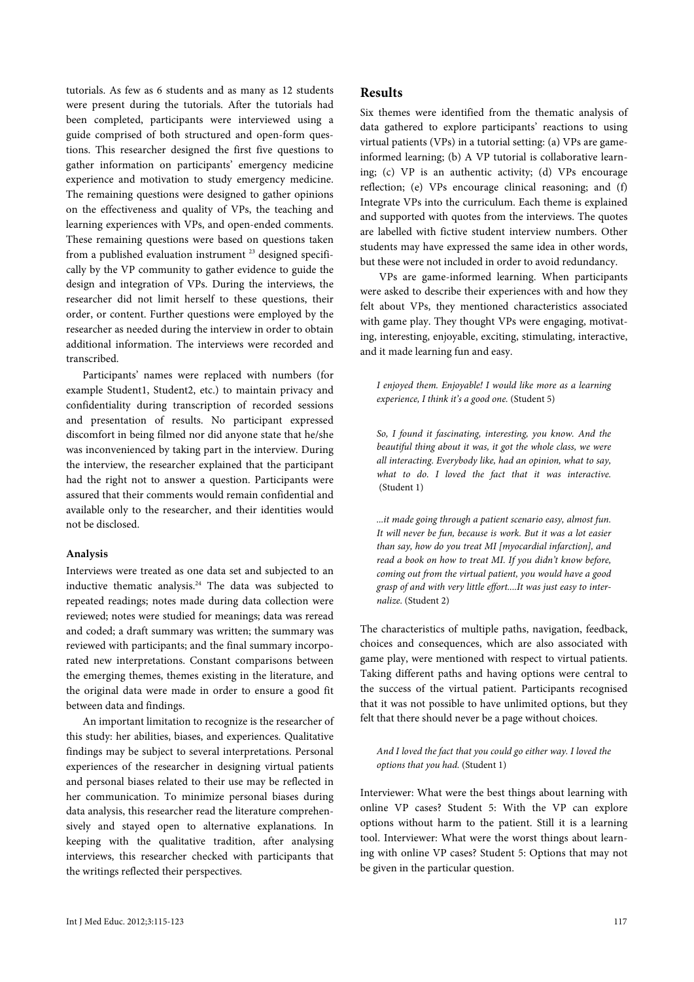tutorials. As few as 6 students and as many as 12 students were present during the tutorials. After the tutorials had been completed, participants were interviewed using a guide comprised of both structured and open-form questions. This researcher designed the first five questions to gather information on participants' emergency medicine experience and motivation to study emergency medicine. The remaining questions were designed to gather opinions on the effectiveness and quality of VPs, the teaching and learning experiences with VPs, and open-ended comments. These remaining questions were based on questions taken from a published evaluation instrument<sup>23</sup> designed specifically by the VP community to gather evidence to guide the design and integration of VPs. During the interviews, the researcher did not limit herself to these questions, their order, or content. Further questions were employed by the researcher as needed during the interview in order to obtain additional information. The interviews were recorded and transcribed.

Participants' names were replaced with numbers (for example Student1, Student2, etc.) to maintain privacy and confidentiality during transcription of recorded sessions and presentation of results. No participant expressed discomfort in being filmed nor did anyone state that he/she was inconvenienced by taking part in the interview. During the interview, the researcher explained that the participant had the right not to answer a question. Participants were assured that their comments would remain confidential and available only to the researcher, and their identities would not be disclosed.

## **Analysis**

Interviews were treated as one data set and subjected to an inductive thematic analysis.<sup>24</sup> The data was subjected to repeated readings; notes made during data collection were reviewed; notes were studied for meanings; data was reread and coded; a draft summary was written; the summary was reviewed with participants; and the final summary incorporated new interpretations. Constant comparisons between the emerging themes, themes existing in the literature, and the original data were made in order to ensure a good fit between data and findings.

An important limitation to recognize is the researcher of this study: her abilities, biases, and experiences. Qualitative findings may be subject to several interpretations. Personal experiences of the researcher in designing virtual patients and personal biases related to their use may be reflected in her communication. To minimize personal biases during data analysis, this researcher read the literature comprehensively and stayed open to alternative explanations. In keeping with the qualitative tradition, after analysing interviews, this researcher checked with participants that the writings reflected their perspectives.

# **Results**

Six themes were identified from the thematic analysis of data gathered to explore participants' reactions to using virtual patients (VPs) in a tutorial setting: (a) VPs are gameinformed learning; (b) A VP tutorial is collaborative learning; (c) VP is an authentic activity; (d) VPs encourage reflection; (e) VPs encourage clinical reasoning; and (f) Integrate VPs into the curriculum. Each theme is explained and supported with quotes from the interviews. The quotes are labelled with fictive student interview numbers. Other students may have expressed the same idea in other words, but these were not included in order to avoid redundancy.

VPs are game-informed learning. When participants were asked to describe their experiences with and how they felt about VPs, they mentioned characteristics associated with game play. They thought VPs were engaging, motivating, interesting, enjoyable, exciting, stimulating, interactive, and it made learning fun and easy.

*I enjoyed them. Enjoyable! I would like more as a learning experience, I think it's a good one.* (Student 5)

*So, I found it fascinating, interesting, you know. And the beautiful thing about it was, it got the whole class, we were all interacting. Everybody like, had an opinion, what to say, what to do. I loved the fact that it was interactive.* (Student 1)

*...it made going through a patient scenario easy, almost fun. It will never be fun, because is work. But it was a lot easier than say, how do you treat MI [myocardial infarction], and read a book on how to treat MI. If you didn't know before, coming out from the virtual patient, you would have a good grasp of and with very little effort....It was just easy to internalize.* (Student 2)

The characteristics of multiple paths, navigation, feedback, choices and consequences, which are also associated with game play, were mentioned with respect to virtual patients. Taking different paths and having options were central to the success of the virtual patient. Participants recognised that it was not possible to have unlimited options, but they felt that there should never be a page without choices.

*And I loved the fact that you could go either way. I loved the options that you had.* (Student 1)

Interviewer: What were the best things about learning with online VP cases? Student 5: With the VP can explore options without harm to the patient. Still it is a learning tool. Interviewer: What were the worst things about learning with online VP cases? Student 5: Options that may not be given in the particular question.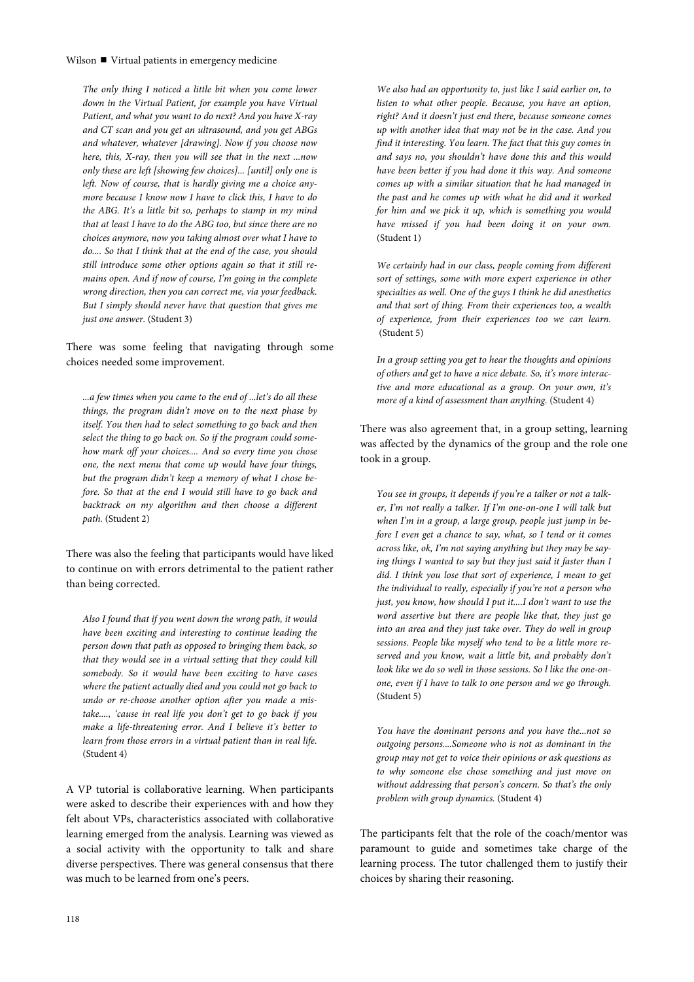#### Wilson  $\blacksquare$  Virtual patients in emergency medicine

*The only thing I noticed a little bit when you come lower down in the Virtual Patient, for example you have Virtual Patient, and what you want to do next? And you have X-ray and CT scan and you get an ultrasound, and you get ABGs and whatever, whatever [drawing]. Now if you choose now here, this, X-ray, then you will see that in the next ...now only these are left [showing few choices]... [until] only one is left. Now of course, that is hardly giving me a choice anymore because I know now I have to click this, I have to do the ABG. It's a little bit so, perhaps to stamp in my mind that at least I have to do the ABG too, but since there are no choices anymore, now you taking almost over what I have to do.... So that I think that at the end of the case, you should still introduce some other options again so that it still remains open. And if now of course, I'm going in the complete wrong direction, then you can correct me, via your feedback. But I simply should never have that question that gives me just one answer.* (Student 3)

There was some feeling that navigating through some choices needed some improvement.

*...a few times when you came to the end of ...let's do all these things, the program didn't move on to the next phase by itself. You then had to select something to go back and then select the thing to go back on. So if the program could somehow mark off your choices.... And so every time you chose one, the next menu that come up would have four things, but the program didn't keep a memory of what I chose before. So that at the end I would still have to go back and backtrack on my algorithm and then choose a different path.* (Student 2)

There was also the feeling that participants would have liked to continue on with errors detrimental to the patient rather than being corrected.

*Also I found that if you went down the wrong path, it would have been exciting and interesting to continue leading the person down that path as opposed to bringing them back, so that they would see in a virtual setting that they could kill somebody. So it would have been exciting to have cases where the patient actually died and you could not go back to undo or re-choose another option after you made a mistake...., 'cause in real life you don't get to go back if you make a life-threatening error. And I believe it's better to learn from those errors in a virtual patient than in real life.*  (Student 4)

A VP tutorial is collaborative learning. When participants were asked to describe their experiences with and how they felt about VPs, characteristics associated with collaborative learning emerged from the analysis. Learning was viewed as a social activity with the opportunity to talk and share diverse perspectives. There was general consensus that there was much to be learned from one's peers.

*We also had an opportunity to, just like I said earlier on, to listen to what other people. Because, you have an option, right? And it doesn't just end there, because someone comes up with another idea that may not be in the case. And you find it interesting. You learn. The fact that this guy comes in and says no, you shouldn't have done this and this would have been better if you had done it this way. And someone comes up with a similar situation that he had managed in the past and he comes up with what he did and it worked for him and we pick it up, which is something you would have missed if you had been doing it on your own.* (Student 1)

*We certainly had in our class, people coming from different sort of settings, some with more expert experience in other specialties as well. One of the guys I think he did anesthetics and that sort of thing. From their experiences too, a wealth of experience, from their experiences too we can learn.* (Student 5)

*In a group setting you get to hear the thoughts and opinions of others and get to have a nice debate. So, it's more interactive and more educational as a group. On your own, it's more of a kind of assessment than anything.* (Student 4)

There was also agreement that, in a group setting, learning was affected by the dynamics of the group and the role one took in a group.

*You see in groups, it depends if you're a talker or not a talker, I'm not really a talker. If I'm one-on-one I will talk but when I'm in a group, a large group, people just jump in before I even get a chance to say, what, so I tend or it comes across like, ok, I'm not saying anything but they may be saying things I wanted to say but they just said it faster than I did. I think you lose that sort of experience, I mean to get the individual to really, especially if you're not a person who just, you know, how should I put it....I don't want to use the word assertive but there are people like that, they just go into an area and they just take over. They do well in group sessions. People like myself who tend to be a little more reserved and you know, wait a little bit, and probably don't look like we do so well in those sessions. So l like the one-onone, even if I have to talk to one person and we go through.*  (Student 5)

*You have the dominant persons and you have the...not so outgoing persons....Someone who is not as dominant in the group may not get to voice their opinions or ask questions as to why someone else chose something and just move on without addressing that person's concern. So that's the only problem with group dynamics.* (Student 4)

The participants felt that the role of the coach/mentor was paramount to guide and sometimes take charge of the learning process. The tutor challenged them to justify their choices by sharing their reasoning.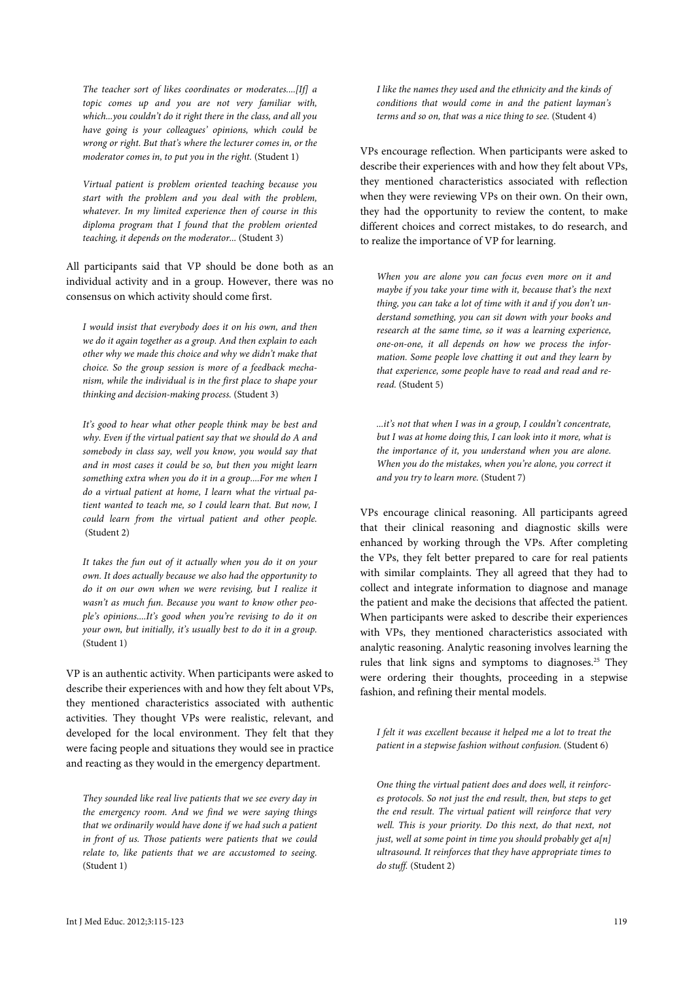*The teacher sort of likes coordinates or moderates....[If] a topic comes up and you are not very familiar with, which...you couldn't do it right there in the class, and all you have going is your colleagues' opinions, which could be wrong or right. But that's where the lecturer comes in, or the moderator comes in, to put you in the right.* (Student 1)

*Virtual patient is problem oriented teaching because you start with the problem and you deal with the problem, whatever. In my limited experience then of course in this diploma program that I found that the problem oriented teaching, it depends on the moderator...* (Student 3)

All participants said that VP should be done both as an individual activity and in a group. However, there was no consensus on which activity should come first.

*I would insist that everybody does it on his own, and then we do it again together as a group. And then explain to each other why we made this choice and why we didn't make that choice. So the group session is more of a feedback mechanism, while the individual is in the first place to shape your thinking and decision-making process.* (Student 3)

*It's good to hear what other people think may be best and why. Even if the virtual patient say that we should do A and somebody in class say, well you know, you would say that and in most cases it could be so, but then you might learn something extra when you do it in a group....For me when I do a virtual patient at home, I learn what the virtual patient wanted to teach me, so I could learn that. But now, I could learn from the virtual patient and other people.* (Student 2)

*It takes the fun out of it actually when you do it on your own. It does actually because we also had the opportunity to do it on our own when we were revising, but I realize it wasn't as much fun. Because you want to know other people's opinions....It's good when you're revising to do it on your own, but initially, it's usually best to do it in a group.*  (Student 1)

VP is an authentic activity. When participants were asked to describe their experiences with and how they felt about VPs, they mentioned characteristics associated with authentic activities. They thought VPs were realistic, relevant, and developed for the local environment. They felt that they were facing people and situations they would see in practice and reacting as they would in the emergency department.

*They sounded like real live patients that we see every day in the emergency room. And we find we were saying things that we ordinarily would have done if we had such a patient in front of us. Those patients were patients that we could relate to, like patients that we are accustomed to seeing.*  (Student 1)

*I like the names they used and the ethnicity and the kinds of conditions that would come in and the patient layman's terms and so on, that was a nice thing to see.* (Student 4)

VPs encourage reflection. When participants were asked to describe their experiences with and how they felt about VPs, they mentioned characteristics associated with reflection when they were reviewing VPs on their own. On their own, they had the opportunity to review the content, to make different choices and correct mistakes, to do research, and to realize the importance of VP for learning.

*When you are alone you can focus even more on it and maybe if you take your time with it, because that's the next thing, you can take a lot of time with it and if you don't understand something, you can sit down with your books and research at the same time, so it was a learning experience, one-on-one, it all depends on how we process the information. Some people love chatting it out and they learn by*  that experience, some people have to read and read and re*read.* (Student 5)

*...it's not that when I was in a group, I couldn't concentrate, but I was at home doing this, I can look into it more, what is the importance of it, you understand when you are alone. When you do the mistakes, when you're alone, you correct it and you try to learn more.* (Student 7)

VPs encourage clinical reasoning. All participants agreed that their clinical reasoning and diagnostic skills were enhanced by working through the VPs. After completing the VPs, they felt better prepared to care for real patients with similar complaints. They all agreed that they had to collect and integrate information to diagnose and manage the patient and make the decisions that affected the patient. When participants were asked to describe their experiences with VPs, they mentioned characteristics associated with analytic reasoning. Analytic reasoning involves learning the rules that link signs and symptoms to diagnoses.<sup>25</sup> They were ordering their thoughts, proceeding in a stepwise fashion, and refining their mental models.

*I felt it was excellent because it helped me a lot to treat the patient in a stepwise fashion without confusion.* (Student 6)

*One thing the virtual patient does and does well, it reinforces protocols. So not just the end result, then, but steps to get the end result. The virtual patient will reinforce that very*  well. This is your priority. Do this next, do that next, not *just, well at some point in time you should probably get a[n] ultrasound. It reinforces that they have appropriate times to do stuff.* (Student 2)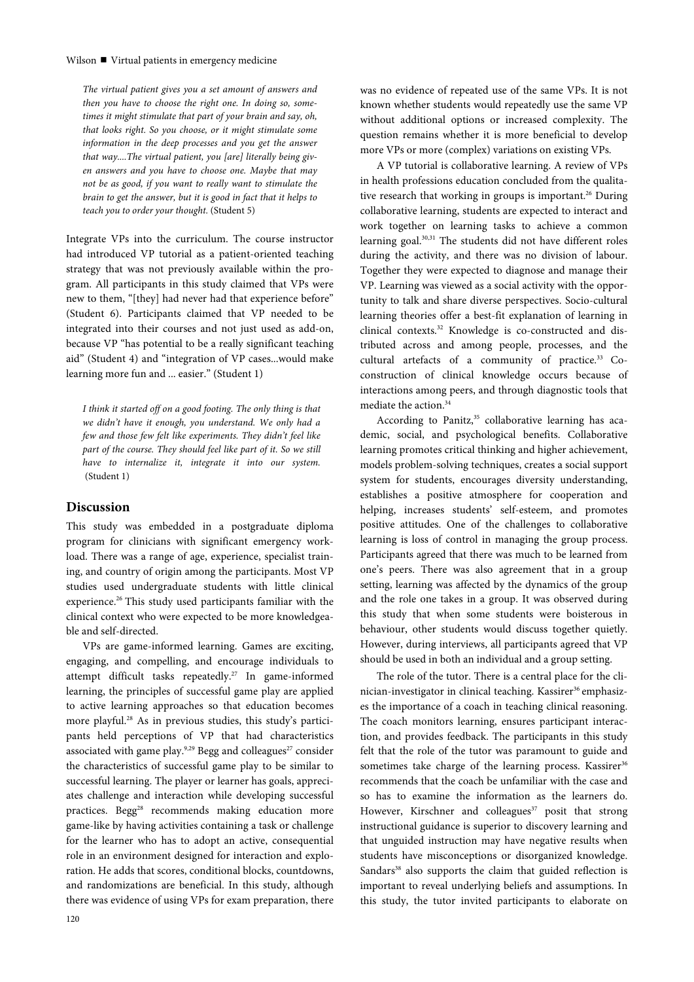*The virtual patient gives you a set amount of answers and then you have to choose the right one. In doing so, sometimes it might stimulate that part of your brain and say, oh, that looks right. So you choose, or it might stimulate some information in the deep processes and you get the answer that way....The virtual patient, you [are] literally being given answers and you have to choose one. Maybe that may not be as good, if you want to really want to stimulate the brain to get the answer, but it is good in fact that it helps to teach you to order your thought.* (Student 5)

Integrate VPs into the curriculum. The course instructor had introduced VP tutorial as a patient-oriented teaching strategy that was not previously available within the program. All participants in this study claimed that VPs were new to them, "[they] had never had that experience before" (Student 6). Participants claimed that VP needed to be integrated into their courses and not just used as add-on, because VP "has potential to be a really significant teaching aid" (Student 4) and "integration of VP cases...would make learning more fun and ... easier." (Student 1)

*I think it started off on a good footing. The only thing is that we didn't have it enough, you understand. We only had a few and those few felt like experiments. They didn't feel like part of the course. They should feel like part of it. So we still have to internalize it, integrate it into our system.* (Student 1)

## **Discussion**

This study was embedded in a postgraduate diploma program for clinicians with significant emergency workload. There was a range of age, experience, specialist training, and country of origin among the participants. Most VP studies used undergraduate students with little clinical experience.<sup>26</sup> This study used participants familiar with the clinical context who were expected to be more knowledgeable and self-directed.

VPs are game-informed learning. Games are exciting, engaging, and compelling, and encourage individuals to attempt difficult tasks repeatedly.27 In game-informed learning, the principles of successful game play are applied to active learning approaches so that education becomes more playful.<sup>28</sup> As in previous studies, this study's participants held perceptions of VP that had characteristics associated with game play.<sup>9,29</sup> Begg and colleagues<sup>27</sup> consider the characteristics of successful game play to be similar to successful learning. The player or learner has goals, appreciates challenge and interaction while developing successful practices. Begg<sup>28</sup> recommends making education more game-like by having activities containing a task or challenge for the learner who has to adopt an active, consequential role in an environment designed for interaction and exploration. He adds that scores, conditional blocks, countdowns, and randomizations are beneficial. In this study, although there was evidence of using VPs for exam preparation, there

was no evidence of repeated use of the same VPs. It is not known whether students would repeatedly use the same VP without additional options or increased complexity. The question remains whether it is more beneficial to develop more VPs or more (complex) variations on existing VPs.

A VP tutorial is collaborative learning. A review of VPs in health professions education concluded from the qualitative research that working in groups is important.<sup>26</sup> During collaborative learning, students are expected to interact and work together on learning tasks to achieve a common learning goal.<sup>30,31</sup> The students did not have different roles during the activity, and there was no division of labour. Together they were expected to diagnose and manage their VP. Learning was viewed as a social activity with the opportunity to talk and share diverse perspectives. Socio-cultural learning theories offer a best-fit explanation of learning in clinical contexts.32 Knowledge is co-constructed and distributed across and among people, processes, and the cultural artefacts of a community of practice.<sup>33</sup> Coconstruction of clinical knowledge occurs because of interactions among peers, and through diagnostic tools that mediate the action.<sup>34</sup>

According to Panitz,<sup>35</sup> collaborative learning has academic, social, and psychological benefits. Collaborative learning promotes critical thinking and higher achievement, models problem-solving techniques, creates a social support system for students, encourages diversity understanding, establishes a positive atmosphere for cooperation and helping, increases students' self-esteem, and promotes positive attitudes. One of the challenges to collaborative learning is loss of control in managing the group process. Participants agreed that there was much to be learned from one's peers. There was also agreement that in a group setting, learning was affected by the dynamics of the group and the role one takes in a group. It was observed during this study that when some students were boisterous in behaviour, other students would discuss together quietly. However, during interviews, all participants agreed that VP should be used in both an individual and a group setting.

The role of the tutor. There is a central place for the clinician-investigator in clinical teaching. Kassirer<sup>36</sup> emphasizes the importance of a coach in teaching clinical reasoning. The coach monitors learning, ensures participant interaction, and provides feedback. The participants in this study felt that the role of the tutor was paramount to guide and sometimes take charge of the learning process. Kassirer<sup>36</sup> recommends that the coach be unfamiliar with the case and so has to examine the information as the learners do. However, Kirschner and colleagues<sup>37</sup> posit that strong instructional guidance is superior to discovery learning and that unguided instruction may have negative results when students have misconceptions or disorganized knowledge. Sandars<sup>38</sup> also supports the claim that guided reflection is important to reveal underlying beliefs and assumptions. In this study, the tutor invited participants to elaborate on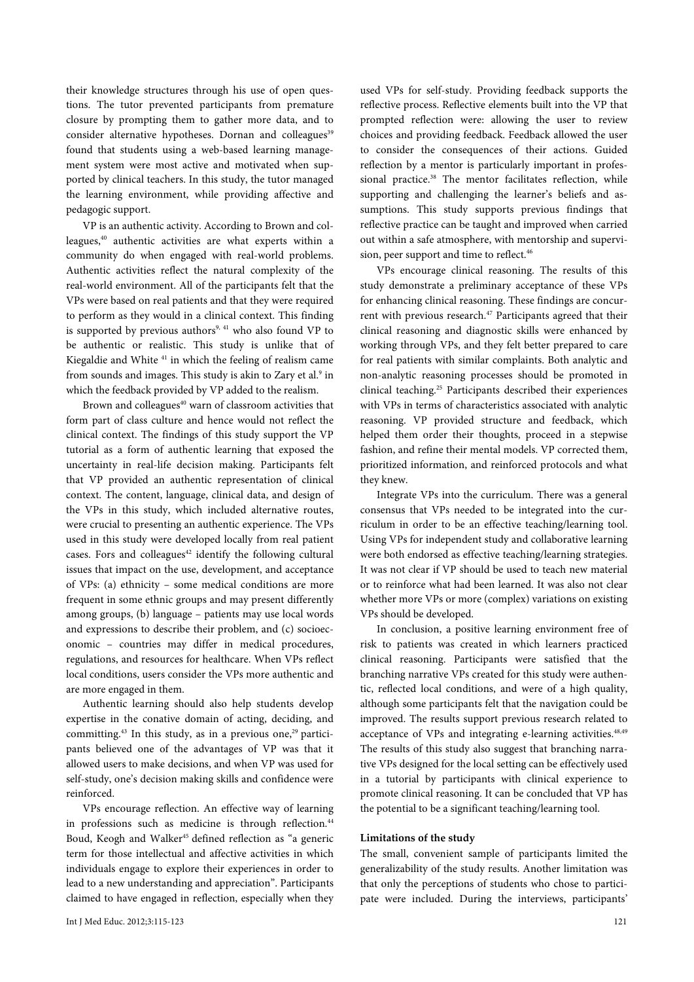their knowledge structures through his use of open questions. The tutor prevented participants from premature closure by prompting them to gather more data, and to consider alternative hypotheses. Dornan and colleagues<sup>39</sup> found that students using a web-based learning management system were most active and motivated when supported by clinical teachers. In this study, the tutor managed the learning environment, while providing affective and pedagogic support.

VP is an authentic activity. According to Brown and colleagues,40 authentic activities are what experts within a community do when engaged with real-world problems. Authentic activities reflect the natural complexity of the real-world environment. All of the participants felt that the VPs were based on real patients and that they were required to perform as they would in a clinical context. This finding is supported by previous authors<sup>9, 41</sup> who also found VP to be authentic or realistic. This study is unlike that of Kiegaldie and White 41 in which the feeling of realism came from sounds and images. This study is akin to Zary et al.<sup>9</sup> in which the feedback provided by VP added to the realism.

Brown and colleagues<sup>40</sup> warn of classroom activities that form part of class culture and hence would not reflect the clinical context. The findings of this study support the VP tutorial as a form of authentic learning that exposed the uncertainty in real-life decision making. Participants felt that VP provided an authentic representation of clinical context. The content, language, clinical data, and design of the VPs in this study, which included alternative routes, were crucial to presenting an authentic experience. The VPs used in this study were developed locally from real patient cases. Fors and colleagues $42$  identify the following cultural issues that impact on the use, development, and acceptance of VPs: (a) ethnicity – some medical conditions are more frequent in some ethnic groups and may present differently among groups, (b) language – patients may use local words and expressions to describe their problem, and (c) socioeconomic – countries may differ in medical procedures, regulations, and resources for healthcare. When VPs reflect local conditions, users consider the VPs more authentic and are more engaged in them.

Authentic learning should also help students develop expertise in the conative domain of acting, deciding, and committing.<sup>43</sup> In this study, as in a previous one,<sup>29</sup> participants believed one of the advantages of VP was that it allowed users to make decisions, and when VP was used for self-study, one's decision making skills and confidence were reinforced.

VPs encourage reflection. An effective way of learning in professions such as medicine is through reflection.<sup>44</sup> Boud, Keogh and Walker<sup>45</sup> defined reflection as "a generic term for those intellectual and affective activities in which individuals engage to explore their experiences in order to lead to a new understanding and appreciation". Participants claimed to have engaged in reflection, especially when they

used VPs for self-study. Providing feedback supports the reflective process. Reflective elements built into the VP that prompted reflection were: allowing the user to review choices and providing feedback. Feedback allowed the user to consider the consequences of their actions. Guided reflection by a mentor is particularly important in professional practice.<sup>38</sup> The mentor facilitates reflection, while supporting and challenging the learner's beliefs and assumptions. This study supports previous findings that reflective practice can be taught and improved when carried out within a safe atmosphere, with mentorship and supervision, peer support and time to reflect.<sup>46</sup>

VPs encourage clinical reasoning. The results of this study demonstrate a preliminary acceptance of these VPs for enhancing clinical reasoning. These findings are concurrent with previous research.<sup>47</sup> Participants agreed that their clinical reasoning and diagnostic skills were enhanced by working through VPs, and they felt better prepared to care for real patients with similar complaints. Both analytic and non-analytic reasoning processes should be promoted in clinical teaching.25 Participants described their experiences with VPs in terms of characteristics associated with analytic reasoning. VP provided structure and feedback, which helped them order their thoughts, proceed in a stepwise fashion, and refine their mental models. VP corrected them, prioritized information, and reinforced protocols and what they knew.

Integrate VPs into the curriculum. There was a general consensus that VPs needed to be integrated into the curriculum in order to be an effective teaching/learning tool. Using VPs for independent study and collaborative learning were both endorsed as effective teaching/learning strategies. It was not clear if VP should be used to teach new material or to reinforce what had been learned. It was also not clear whether more VPs or more (complex) variations on existing VPs should be developed.

In conclusion, a positive learning environment free of risk to patients was created in which learners practiced clinical reasoning. Participants were satisfied that the branching narrative VPs created for this study were authentic, reflected local conditions, and were of a high quality, although some participants felt that the navigation could be improved. The results support previous research related to acceptance of VPs and integrating e-learning activities.48,49 The results of this study also suggest that branching narrative VPs designed for the local setting can be effectively used in a tutorial by participants with clinical experience to promote clinical reasoning. It can be concluded that VP has the potential to be a significant teaching/learning tool.

#### **Limitations of the study**

The small, convenient sample of participants limited the generalizability of the study results. Another limitation was that only the perceptions of students who chose to participate were included. During the interviews, participants'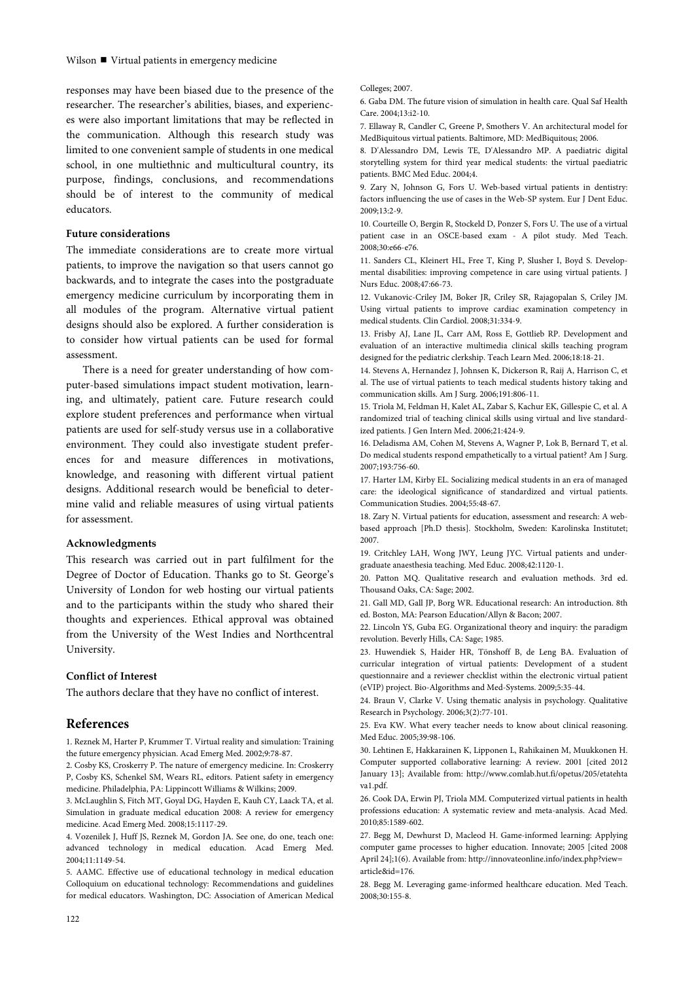responses may have been biased due to the presence of the researcher. The researcher's abilities, biases, and experiences were also important limitations that may be reflected in the communication. Although this research study was limited to one convenient sample of students in one medical school, in one multiethnic and multicultural country, its purpose, findings, conclusions, and recommendations should be of interest to the community of medical educators.

#### **Future considerations**

The immediate considerations are to create more virtual patients, to improve the navigation so that users cannot go backwards, and to integrate the cases into the postgraduate emergency medicine curriculum by incorporating them in all modules of the program. Alternative virtual patient designs should also be explored. A further consideration is to consider how virtual patients can be used for formal assessment.

There is a need for greater understanding of how computer-based simulations impact student motivation, learning, and ultimately, patient care. Future research could explore student preferences and performance when virtual patients are used for self-study versus use in a collaborative environment. They could also investigate student preferences for and measure differences in motivations, knowledge, and reasoning with different virtual patient designs. Additional research would be beneficial to determine valid and reliable measures of using virtual patients for assessment.

#### **Acknowledgments**

This research was carried out in part fulfilment for the Degree of Doctor of Education. Thanks go to St. George's University of London for web hosting our virtual patients and to the participants within the study who shared their thoughts and experiences. Ethical approval was obtained from the University of the West Indies and Northcentral University.

#### **Conflict of Interest**

The authors declare that they have no conflict of interest.

# **References**

1. Reznek M, Harter P, Krummer T. Virtual reality and simulation: Training the future emergency physician. Acad Emerg Med. 2002;9:78-87.

2. Cosby KS, Croskerry P. The nature of emergency medicine. In: Croskerry P, Cosby KS, Schenkel SM, Wears RL, editors. Patient safety in emergency medicine. Philadelphia, PA: Lippincott Williams & Wilkins; 2009.

3. McLaughlin S, Fitch MT, Goyal DG, Hayden E, Kauh CY, Laack TA, et al. Simulation in graduate medical education 2008: A review for emergency medicine. Acad Emerg Med. 2008;15:1117-29.

4. Vozenilek J, Huff JS, Reznek M, Gordon JA. See one, do one, teach one: advanced technology in medical education. Acad Emerg Med. 2004;11:1149-54.

5. AAMC. Effective use of educational technology in medical education Colloquium on educational technology: Recommendations and guidelines for medical educators. Washington, DC: Association of American Medical

Colleges; 2007.

6. Gaba DM. The future vision of simulation in health care. Qual Saf Health Care. 2004;13:i2-10.

7. Ellaway R, Candler C, Greene P, Smothers V. An architectural model for MedBiquitous virtual patients. Baltimore, MD: MedBiquitous; 2006.

8. D'Alessandro DM, Lewis TE, D'Alessandro MP. A paediatric digital storytelling system for third year medical students: the virtual paediatric patients. BMC Med Educ. 2004;4.

9. Zary N, Johnson G, Fors U. Web-based virtual patients in dentistry: factors influencing the use of cases in the Web-SP system. Eur J Dent Educ. 2009;13:2-9.

10. Courteille O, Bergin R, Stockeld D, Ponzer S, Fors U. The use of a virtual patient case in an OSCE-based exam - A pilot study. Med Teach. 2008;30:e66-e76.

11. Sanders CL, Kleinert HL, Free T, King P, Slusher I, Boyd S. Developmental disabilities: improving competence in care using virtual patients. J Nurs Educ. 2008;47:66-73.

12. Vukanovic-Criley JM, Boker JR, Criley SR, Rajagopalan S, Criley JM. Using virtual patients to improve cardiac examination competency in medical students. Clin Cardiol. 2008;31:334-9.

13. Frisby AJ, Lane JL, Carr AM, Ross E, Gottlieb RP. Development and evaluation of an interactive multimedia clinical skills teaching program designed for the pediatric clerkship. Teach Learn Med. 2006;18:18-21.

14. Stevens A, Hernandez J, Johnsen K, Dickerson R, Raij A, Harrison C, et al. The use of virtual patients to teach medical students history taking and communication skills. Am J Surg. 2006;191:806-11.

15. Triola M, Feldman H, Kalet AL, Zabar S, Kachur EK, Gillespie C, et al. A randomized trial of teaching clinical skills using virtual and live standardized patients. J Gen Intern Med. 2006;21:424-9.

16. Deladisma AM, Cohen M, Stevens A, Wagner P, Lok B, Bernard T, et al. Do medical students respond empathetically to a virtual patient? Am J Surg. 2007;193:756-60.

17. Harter LM, Kirby EL. Socializing medical students in an era of managed care: the ideological significance of standardized and virtual patients. Communication Studies. 2004;55:48-67.

18. Zary N. Virtual patients for education, assessment and research: A webbased approach [Ph.D thesis]. Stockholm, Sweden: Karolinska Institutet; 2007.

19. Critchley LAH, Wong JWY, Leung JYC. Virtual patients and undergraduate anaesthesia teaching. Med Educ. 2008;42:1120-1.

20. Patton MQ. Qualitative research and evaluation methods. 3rd ed. Thousand Oaks, CA: Sage; 2002.

21. Gall MD, Gall JP, Borg WR. Educational research: An introduction. 8th ed. Boston, MA: Pearson Education/Allyn & Bacon; 2007.

22. Lincoln YS, Guba EG. Organizational theory and inquiry: the paradigm revolution. Beverly Hills, CA: Sage; 1985.

23. Huwendiek S, Haider HR, Tönshoff B, de Leng BA. Evaluation of curricular integration of virtual patients: Development of a student questionnaire and a reviewer checklist within the electronic virtual patient (eVIP) project. Bio-Algorithms and Med-Systems. 2009;5:35-44.

24. Braun V, Clarke V. Using thematic analysis in psychology. Qualitative Research in Psychology. 2006;3(2):77-101.

25. Eva KW. What every teacher needs to know about clinical reasoning. Med Educ. 2005;39:98-106.

30. Lehtinen E, Hakkarainen K, Lipponen L, Rahikainen M, Muukkonen H. Computer supported collaborative learning: A review. 2001 [cited 2012 January 13]; Available from: http://www.comlab.hut.fi/opetus/205/etatehta va1.pdf.

26. Cook DA, Erwin PJ, Triola MM. Computerized virtual patients in health professions education: A systematic review and meta-analysis. Acad Med. 2010;85:1589-602.

27. Begg M, Dewhurst D, Macleod H. Game-informed learning: Applying computer game processes to higher education. Innovate; 2005 [cited 2008 April 24];1(6). Available from: http://innovateonline.info/index.php?view= article&id=176.

28. Begg M. Leveraging game-informed healthcare education. Med Teach. 2008;30:155-8.